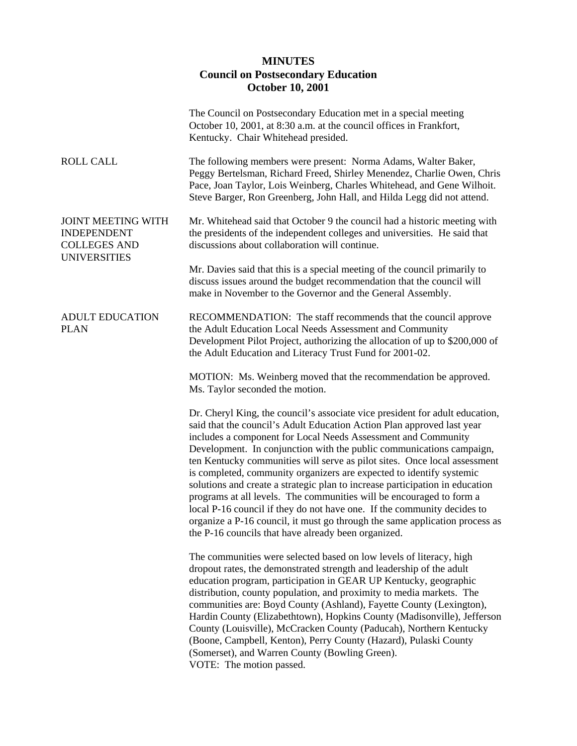## **MINUTES Council on Postsecondary Education October 10, 2001**

|                                                                                               | The Council on Postsecondary Education met in a special meeting<br>October 10, 2001, at 8:30 a.m. at the council offices in Frankfort,<br>Kentucky. Chair Whitehead presided.                                                                                                                                                                                                                                                                                                                                                                                                                                                                                                                                                                                                                                                 |
|-----------------------------------------------------------------------------------------------|-------------------------------------------------------------------------------------------------------------------------------------------------------------------------------------------------------------------------------------------------------------------------------------------------------------------------------------------------------------------------------------------------------------------------------------------------------------------------------------------------------------------------------------------------------------------------------------------------------------------------------------------------------------------------------------------------------------------------------------------------------------------------------------------------------------------------------|
| <b>ROLL CALL</b>                                                                              | The following members were present: Norma Adams, Walter Baker,<br>Peggy Bertelsman, Richard Freed, Shirley Menendez, Charlie Owen, Chris<br>Pace, Joan Taylor, Lois Weinberg, Charles Whitehead, and Gene Wilhoit.<br>Steve Barger, Ron Greenberg, John Hall, and Hilda Legg did not attend.                                                                                                                                                                                                                                                                                                                                                                                                                                                                                                                                  |
| <b>JOINT MEETING WITH</b><br><b>INDEPENDENT</b><br><b>COLLEGES AND</b><br><b>UNIVERSITIES</b> | Mr. Whitehead said that October 9 the council had a historic meeting with<br>the presidents of the independent colleges and universities. He said that<br>discussions about collaboration will continue.                                                                                                                                                                                                                                                                                                                                                                                                                                                                                                                                                                                                                      |
|                                                                                               | Mr. Davies said that this is a special meeting of the council primarily to<br>discuss issues around the budget recommendation that the council will<br>make in November to the Governor and the General Assembly.                                                                                                                                                                                                                                                                                                                                                                                                                                                                                                                                                                                                             |
| <b>ADULT EDUCATION</b><br><b>PLAN</b>                                                         | RECOMMENDATION: The staff recommends that the council approve<br>the Adult Education Local Needs Assessment and Community<br>Development Pilot Project, authorizing the allocation of up to \$200,000 of<br>the Adult Education and Literacy Trust Fund for 2001-02.                                                                                                                                                                                                                                                                                                                                                                                                                                                                                                                                                          |
|                                                                                               | MOTION: Ms. Weinberg moved that the recommendation be approved.<br>Ms. Taylor seconded the motion.                                                                                                                                                                                                                                                                                                                                                                                                                                                                                                                                                                                                                                                                                                                            |
|                                                                                               | Dr. Cheryl King, the council's associate vice president for adult education,<br>said that the council's Adult Education Action Plan approved last year<br>includes a component for Local Needs Assessment and Community<br>Development. In conjunction with the public communications campaign,<br>ten Kentucky communities will serve as pilot sites. Once local assessment<br>is completed, community organizers are expected to identify systemic<br>solutions and create a strategic plan to increase participation in education<br>programs at all levels. The communities will be encouraged to form a<br>local P-16 council if they do not have one. If the community decides to<br>organize a P-16 council, it must go through the same application process as<br>the P-16 councils that have already been organized. |
|                                                                                               | The communities were selected based on low levels of literacy, high<br>dropout rates, the demonstrated strength and leadership of the adult<br>education program, participation in GEAR UP Kentucky, geographic<br>distribution, county population, and proximity to media markets. The<br>communities are: Boyd County (Ashland), Fayette County (Lexington),<br>Hardin County (Elizabethtown), Hopkins County (Madisonville), Jefferson<br>County (Louisville), McCracken County (Paducah), Northern Kentucky<br>(Boone, Campbell, Kenton), Perry County (Hazard), Pulaski County<br>(Somerset), and Warren County (Bowling Green).<br>VOTE: The motion passed.                                                                                                                                                             |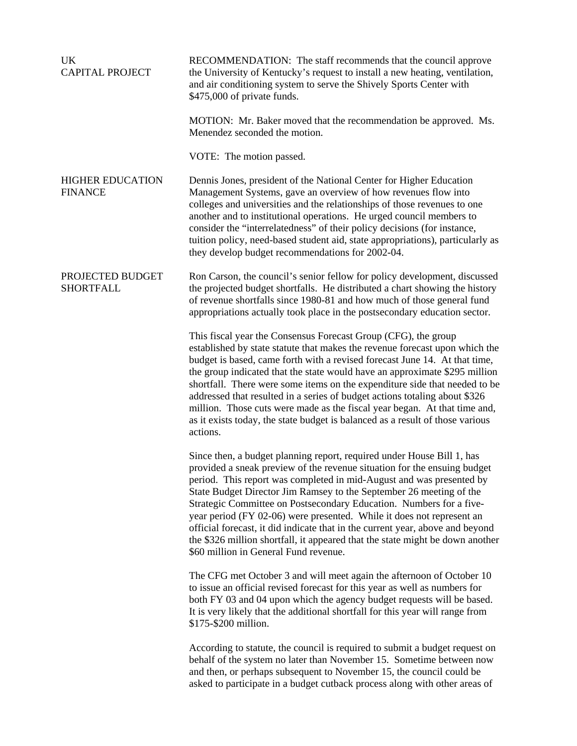| <b>UK</b><br><b>CAPITAL PROJECT</b>       | RECOMMENDATION: The staff recommends that the council approve<br>the University of Kentucky's request to install a new heating, ventilation,<br>and air conditioning system to serve the Shively Sports Center with<br>\$475,000 of private funds.                                                                                                                                                                                                                                                                                                                                                                                                           |
|-------------------------------------------|--------------------------------------------------------------------------------------------------------------------------------------------------------------------------------------------------------------------------------------------------------------------------------------------------------------------------------------------------------------------------------------------------------------------------------------------------------------------------------------------------------------------------------------------------------------------------------------------------------------------------------------------------------------|
|                                           | MOTION: Mr. Baker moved that the recommendation be approved. Ms.<br>Menendez seconded the motion.                                                                                                                                                                                                                                                                                                                                                                                                                                                                                                                                                            |
|                                           | VOTE: The motion passed.                                                                                                                                                                                                                                                                                                                                                                                                                                                                                                                                                                                                                                     |
| <b>HIGHER EDUCATION</b><br><b>FINANCE</b> | Dennis Jones, president of the National Center for Higher Education<br>Management Systems, gave an overview of how revenues flow into<br>colleges and universities and the relationships of those revenues to one<br>another and to institutional operations. He urged council members to<br>consider the "interrelatedness" of their policy decisions (for instance,<br>tuition policy, need-based student aid, state appropriations), particularly as<br>they develop budget recommendations for 2002-04.                                                                                                                                                  |
| PROJECTED BUDGET<br><b>SHORTFALL</b>      | Ron Carson, the council's senior fellow for policy development, discussed<br>the projected budget shortfalls. He distributed a chart showing the history<br>of revenue shortfalls since 1980-81 and how much of those general fund<br>appropriations actually took place in the postsecondary education sector.                                                                                                                                                                                                                                                                                                                                              |
|                                           | This fiscal year the Consensus Forecast Group (CFG), the group<br>established by state statute that makes the revenue forecast upon which the<br>budget is based, came forth with a revised forecast June 14. At that time,<br>the group indicated that the state would have an approximate \$295 million<br>shortfall. There were some items on the expenditure side that needed to be<br>addressed that resulted in a series of budget actions totaling about \$326<br>million. Those cuts were made as the fiscal year began. At that time and,<br>as it exists today, the state budget is balanced as a result of those various<br>actions.              |
|                                           | Since then, a budget planning report, required under House Bill 1, has<br>provided a sneak preview of the revenue situation for the ensuing budget<br>period. This report was completed in mid-August and was presented by<br>State Budget Director Jim Ramsey to the September 26 meeting of the<br>Strategic Committee on Postsecondary Education. Numbers for a five-<br>year period (FY 02-06) were presented. While it does not represent an<br>official forecast, it did indicate that in the current year, above and beyond<br>the \$326 million shortfall, it appeared that the state might be down another<br>\$60 million in General Fund revenue. |
|                                           | The CFG met October 3 and will meet again the afternoon of October 10<br>to issue an official revised forecast for this year as well as numbers for<br>both FY 03 and 04 upon which the agency budget requests will be based.<br>It is very likely that the additional shortfall for this year will range from<br>\$175-\$200 million.                                                                                                                                                                                                                                                                                                                       |
|                                           | According to statute, the council is required to submit a budget request on<br>behalf of the system no later than November 15. Sometime between now<br>and then, or perhaps subsequent to November 15, the council could be<br>asked to participate in a budget cutback process along with other areas of                                                                                                                                                                                                                                                                                                                                                    |